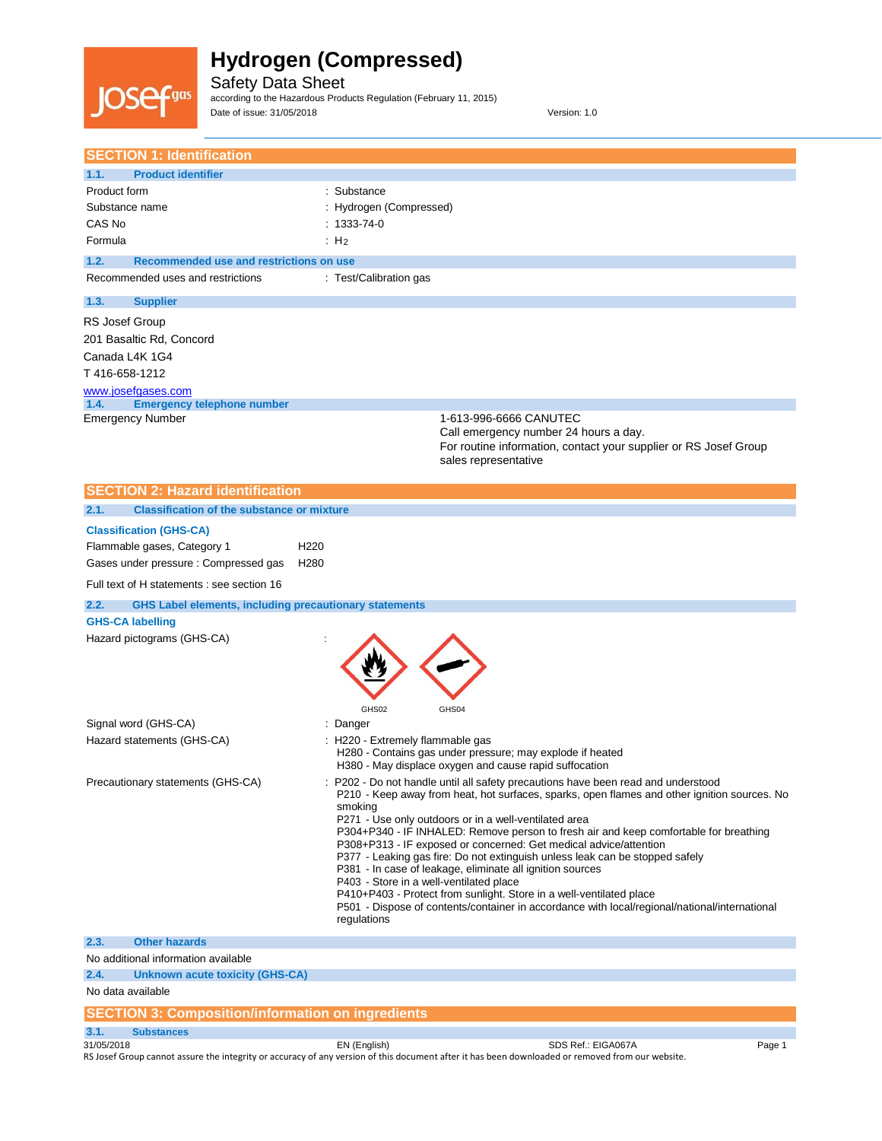

Safety Data Sheet according to the Hazardous Products Regulation (February 11, 2015) Date of issue: 31/05/2018 Version: 1.0

| <b>SECTION 1: Identification</b>                                                                                                                        |                                                                                                                                                                                                                                                                                                                                                                                                                                                                                                                                                                  |
|---------------------------------------------------------------------------------------------------------------------------------------------------------|------------------------------------------------------------------------------------------------------------------------------------------------------------------------------------------------------------------------------------------------------------------------------------------------------------------------------------------------------------------------------------------------------------------------------------------------------------------------------------------------------------------------------------------------------------------|
| 1.1.<br><b>Product identifier</b>                                                                                                                       |                                                                                                                                                                                                                                                                                                                                                                                                                                                                                                                                                                  |
| Product form<br>Substance name<br>CAS No<br>Formula                                                                                                     | : Substance<br>: Hydrogen (Compressed)<br>$: 1333 - 74 - 0$<br>: $H_2$                                                                                                                                                                                                                                                                                                                                                                                                                                                                                           |
| 1.2.<br>Recommended use and restrictions on use                                                                                                         |                                                                                                                                                                                                                                                                                                                                                                                                                                                                                                                                                                  |
| Recommended uses and restrictions                                                                                                                       | : Test/Calibration gas                                                                                                                                                                                                                                                                                                                                                                                                                                                                                                                                           |
| 1.3.<br><b>Supplier</b>                                                                                                                                 |                                                                                                                                                                                                                                                                                                                                                                                                                                                                                                                                                                  |
| <b>RS Josef Group</b><br>201 Basaltic Rd, Concord<br>Canada L4K 1G4<br>T416-658-1212<br>www.josefgases.com<br><b>Emergency telephone number</b><br>1.4. |                                                                                                                                                                                                                                                                                                                                                                                                                                                                                                                                                                  |
| <b>Emergency Number</b>                                                                                                                                 | 1-613-996-6666 CANUTEC<br>Call emergency number 24 hours a day.<br>For routine information, contact your supplier or RS Josef Group<br>sales representative                                                                                                                                                                                                                                                                                                                                                                                                      |
| <b>SECTION 2: Hazard identification</b>                                                                                                                 |                                                                                                                                                                                                                                                                                                                                                                                                                                                                                                                                                                  |
| 2.1.<br><b>Classification of the substance or mixture</b>                                                                                               |                                                                                                                                                                                                                                                                                                                                                                                                                                                                                                                                                                  |
| <b>Classification (GHS-CA)</b>                                                                                                                          |                                                                                                                                                                                                                                                                                                                                                                                                                                                                                                                                                                  |
| Flammable gases, Category 1<br>Gases under pressure : Compressed gas                                                                                    | H <sub>220</sub><br>H <sub>280</sub>                                                                                                                                                                                                                                                                                                                                                                                                                                                                                                                             |
| Full text of H statements : see section 16                                                                                                              |                                                                                                                                                                                                                                                                                                                                                                                                                                                                                                                                                                  |
| 2.2.<br><b>GHS Label elements, including precautionary statements</b>                                                                                   |                                                                                                                                                                                                                                                                                                                                                                                                                                                                                                                                                                  |
| <b>GHS-CA labelling</b>                                                                                                                                 |                                                                                                                                                                                                                                                                                                                                                                                                                                                                                                                                                                  |
| Hazard pictograms (GHS-CA)                                                                                                                              | GHS02<br>GHS04                                                                                                                                                                                                                                                                                                                                                                                                                                                                                                                                                   |
| Signal word (GHS-CA)                                                                                                                                    | : Danger                                                                                                                                                                                                                                                                                                                                                                                                                                                                                                                                                         |
| Hazard statements (GHS-CA)                                                                                                                              | : H220 - Extremely flammable gas<br>H280 - Contains gas under pressure; may explode if heated<br>H380 - May displace oxygen and cause rapid suffocation                                                                                                                                                                                                                                                                                                                                                                                                          |
| Precautionary statements (GHS-CA)                                                                                                                       | : P202 - Do not handle until all safety precautions have been read and understood<br>P210 - Keep away from heat, hot surfaces, sparks, open flames and other ignition sources. No<br>smoking<br>P271 - Use only outdoors or in a well-ventilated area<br>P304+P340 - IF INHALED: Remove person to fresh air and keep comfortable for breathing<br>P308+P313 - IF exposed or concerned: Get medical advice/attention<br>P377 - Leaking gas fire: Do not extinguish unless leak can be stopped safely<br>P381 - In case of leakage, eliminate all ignition sources |

#### P403 - Store in a well-ventilated place

P410+P403 - Protect from sunlight. Store in a well-ventilated place

P501 - Dispose of contents/container in accordance with local/regional/national/international regulations

#### **2.3. Other hazards**

No additional information available

### **2.4. Unknown acute toxicity (GHS-CA)**

No data available

### **SECTION 3: Composition/information on ingredients**

**3.1. Substances**

EN (English) SDS Ref.: EIGA067A Page 1 RS Josef Group cannot assure the integrity or accuracy of any version of this document after it has been downloaded or removed from our website.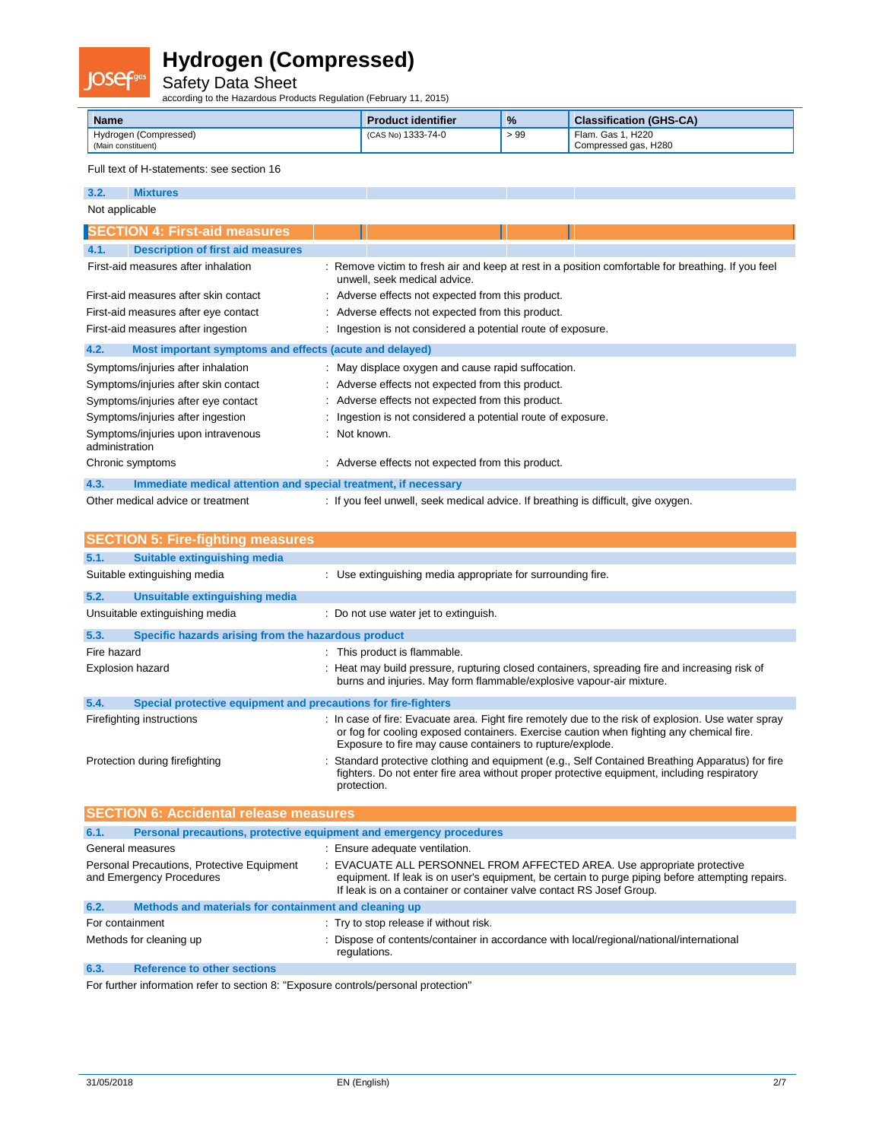Safety Data Sheet according to the Hazardous Products Regulation (February 11, 2015)

| <b>Name</b>           | <b>Product identifier</b> | $\frac{9}{6}$ | <b>Classification (GHS-CA)</b> |
|-----------------------|---------------------------|---------------|--------------------------------|
| Hydrogen (Compressed) | (CAS No) 1333-74-0        | >99           | Flam. Gas 1. H220              |
| (Main constituent)    |                           |               | Compressed gas, H280           |

#### Full text of H-statements: see section 16

| 3.2.<br><b>Mixtures</b>                                                 |                                                                                                                                    |
|-------------------------------------------------------------------------|------------------------------------------------------------------------------------------------------------------------------------|
| Not applicable                                                          |                                                                                                                                    |
| <b>SECTION 4: First-aid measures</b>                                    |                                                                                                                                    |
| <b>Description of first aid measures</b><br>4.1.                        |                                                                                                                                    |
| First-aid measures after inhalation                                     | : Remove victim to fresh air and keep at rest in a position comfortable for breathing. If you feel<br>unwell, seek medical advice. |
| First-aid measures after skin contact                                   | : Adverse effects not expected from this product.                                                                                  |
| First-aid measures after eye contact                                    | : Adverse effects not expected from this product.                                                                                  |
| First-aid measures after ingestion                                      | Ingestion is not considered a potential route of exposure.                                                                         |
| 4.2.<br>Most important symptoms and effects (acute and delayed)         |                                                                                                                                    |
| Symptoms/injuries after inhalation                                      | : May displace oxygen and cause rapid suffocation.                                                                                 |
| Symptoms/injuries after skin contact                                    | : Adverse effects not expected from this product.                                                                                  |
| Symptoms/injuries after eye contact                                     | : Adverse effects not expected from this product.                                                                                  |
| Symptoms/injuries after ingestion                                       | Ingestion is not considered a potential route of exposure.                                                                         |
| Symptoms/injuries upon intravenous<br>administration                    | : Not known.                                                                                                                       |
| Chronic symptoms                                                        | Adverse effects not expected from this product.                                                                                    |
| 4.3.<br>Immediate medical attention and special treatment, if necessary |                                                                                                                                    |
| Other medical advice or treatment                                       | : If you feel unwell, seek medical advice. If breathing is difficult, give oxygen.                                                 |

|                  | <b>SECTION 5: Fire-fighting measures</b>                                                                                                                                                                                                       |                                                                                                                                                                                                                                                              |
|------------------|------------------------------------------------------------------------------------------------------------------------------------------------------------------------------------------------------------------------------------------------|--------------------------------------------------------------------------------------------------------------------------------------------------------------------------------------------------------------------------------------------------------------|
| 5.1.             | Suitable extinguishing media                                                                                                                                                                                                                   |                                                                                                                                                                                                                                                              |
|                  | Suitable extinguishing media                                                                                                                                                                                                                   | : Use extinguishing media appropriate for surrounding fire.                                                                                                                                                                                                  |
| 5.2.             | Unsuitable extinguishing media                                                                                                                                                                                                                 |                                                                                                                                                                                                                                                              |
|                  | Unsuitable extinguishing media                                                                                                                                                                                                                 | : Do not use water jet to extinguish.                                                                                                                                                                                                                        |
| 5.3.             | Specific hazards arising from the hazardous product                                                                                                                                                                                            |                                                                                                                                                                                                                                                              |
| Fire hazard      |                                                                                                                                                                                                                                                | : This product is flammable.                                                                                                                                                                                                                                 |
| Explosion hazard |                                                                                                                                                                                                                                                | : Heat may build pressure, rupturing closed containers, spreading fire and increasing risk of<br>burns and injuries. May form flammable/explosive vapour-air mixture.                                                                                        |
| 5.4.             | Special protective equipment and precautions for fire-fighters                                                                                                                                                                                 |                                                                                                                                                                                                                                                              |
|                  | Firefighting instructions                                                                                                                                                                                                                      | : In case of fire: Evacuate area. Fight fire remotely due to the risk of explosion. Use water spray<br>or fog for cooling exposed containers. Exercise caution when fighting any chemical fire.<br>Exposure to fire may cause containers to rupture/explode. |
|                  | Protection during firefighting<br>Standard protective clothing and equipment (e.g., Self Contained Breathing Apparatus) for fire<br>fighters. Do not enter fire area without proper protective equipment, including respiratory<br>protection. |                                                                                                                                                                                                                                                              |
|                  | <b>SECTION 6: Accidental release measures</b>                                                                                                                                                                                                  |                                                                                                                                                                                                                                                              |
| 6.1.             | Personal precautions, protective equipment and emergency procedures                                                                                                                                                                            |                                                                                                                                                                                                                                                              |
|                  | General measures                                                                                                                                                                                                                               | : Ensure adequate ventilation.                                                                                                                                                                                                                               |
|                  | Personal Precautions, Protective Equipment                                                                                                                                                                                                     | : EVACUATE ALL PERSONNEL FROM AFFECTED AREA. Use appropriate protective                                                                                                                                                                                      |

|                 |                                                       | If leak is on a container or container valve contact RS Josef Group.                                     |
|-----------------|-------------------------------------------------------|----------------------------------------------------------------------------------------------------------|
| 6.2.            | Methods and materials for containment and cleaning up |                                                                                                          |
| For containment |                                                       | : Try to stop release if without risk.                                                                   |
|                 | Methods for cleaning up                               | : Dispose of contents/container in accordance with local/regional/national/international<br>regulations. |

and Emergency Procedures equipment. If leak is on user's equipment, be certain to purge piping before attempting repairs.

#### **6.3. Reference to other sections**

For further information refer to section 8: "Exposure controls/personal protection"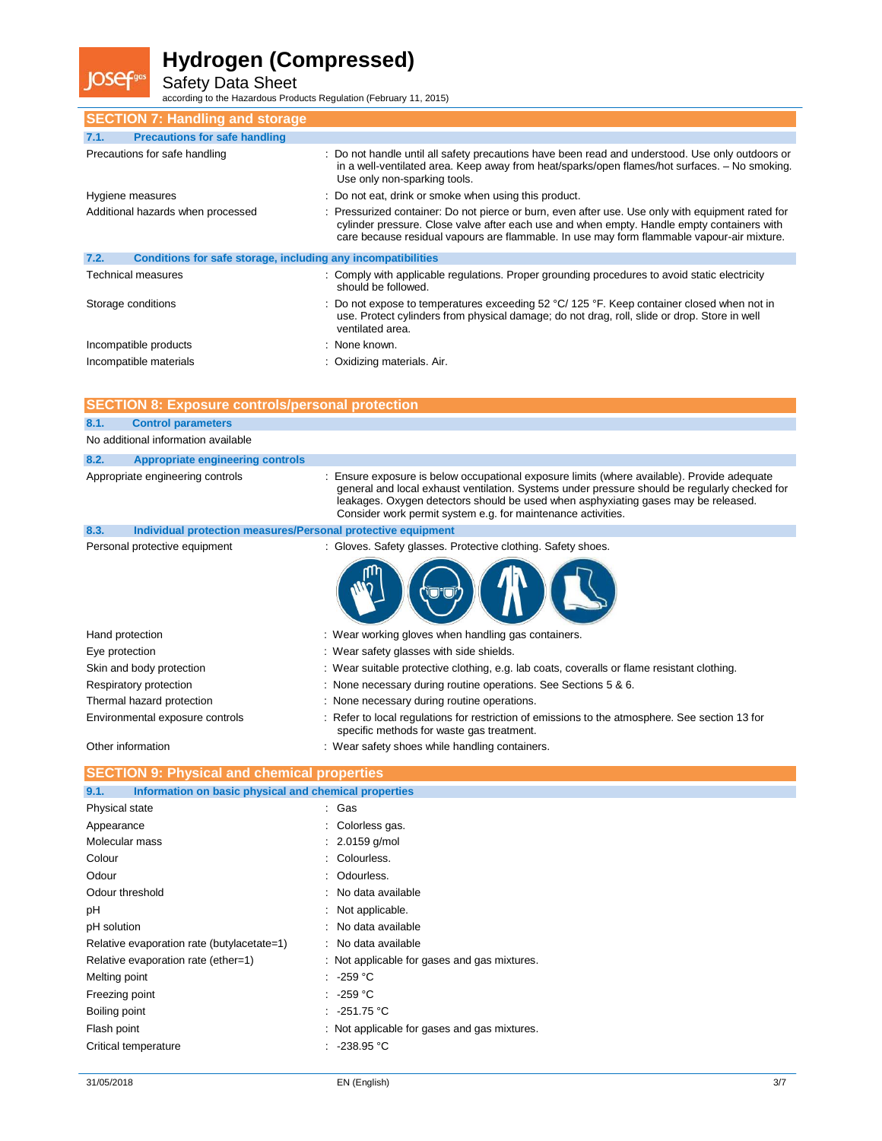lose

Safety Data Sheet according to the Hazardous Products Regulation (February 11, 2015)

| <b>SECTION 7: Handling and storage</b>                               |                                                                                                                                                                                                                                                                                             |
|----------------------------------------------------------------------|---------------------------------------------------------------------------------------------------------------------------------------------------------------------------------------------------------------------------------------------------------------------------------------------|
| <b>Precautions for safe handling</b><br>7.1.                         |                                                                                                                                                                                                                                                                                             |
| Precautions for safe handling                                        | : Do not handle until all safety precautions have been read and understood. Use only outdoors or<br>in a well-ventilated area. Keep away from heat/sparks/open flames/hot surfaces. - No smoking.<br>Use only non-sparking tools.                                                           |
| Hygiene measures                                                     | : Do not eat, drink or smoke when using this product.                                                                                                                                                                                                                                       |
| Additional hazards when processed                                    | Pressurized container: Do not pierce or burn, even after use. Use only with equipment rated for<br>cylinder pressure. Close valve after each use and when empty. Handle empty containers with<br>care because residual vapours are flammable. In use may form flammable vapour-air mixture. |
| 7.2.<br>Conditions for safe storage, including any incompatibilities |                                                                                                                                                                                                                                                                                             |
| <b>Technical measures</b>                                            | : Comply with applicable regulations. Proper grounding procedures to avoid static electricity<br>should be followed.                                                                                                                                                                        |
|                                                                      |                                                                                                                                                                                                                                                                                             |
| Storage conditions                                                   | Do not expose to temperatures exceeding 52 °C/ 125 °F. Keep container closed when not in<br>use. Protect cylinders from physical damage; do not drag, roll, slide or drop. Store in well<br>ventilated area.                                                                                |
| Incompatible products                                                | : None known.                                                                                                                                                                                                                                                                               |

| <b>SECTION 8: Exposure controls/personal protection</b>              |                                                                                                                                                                                                                                                                                                                                                    |  |  |
|----------------------------------------------------------------------|----------------------------------------------------------------------------------------------------------------------------------------------------------------------------------------------------------------------------------------------------------------------------------------------------------------------------------------------------|--|--|
| 8.1.<br><b>Control parameters</b>                                    |                                                                                                                                                                                                                                                                                                                                                    |  |  |
| No additional information available                                  |                                                                                                                                                                                                                                                                                                                                                    |  |  |
| <b>Appropriate engineering controls</b><br>8.2.                      |                                                                                                                                                                                                                                                                                                                                                    |  |  |
| Appropriate engineering controls                                     | : Ensure exposure is below occupational exposure limits (where available). Provide adequate<br>general and local exhaust ventilation. Systems under pressure should be regularly checked for<br>leakages. Oxygen detectors should be used when asphyxiating gases may be released.<br>Consider work permit system e.g. for maintenance activities. |  |  |
| 8.3.<br>Individual protection measures/Personal protective equipment |                                                                                                                                                                                                                                                                                                                                                    |  |  |
| Personal protective equipment                                        | : Gloves. Safety glasses. Protective clothing. Safety shoes.                                                                                                                                                                                                                                                                                       |  |  |
|                                                                      |                                                                                                                                                                                                                                                                                                                                                    |  |  |
| Hand protection                                                      | : Wear working gloves when handling gas containers.                                                                                                                                                                                                                                                                                                |  |  |
| Eye protection                                                       | : Wear safety glasses with side shields.                                                                                                                                                                                                                                                                                                           |  |  |
| Skin and body protection                                             | : Wear suitable protective clothing, e.g. lab coats, coveralls or flame resistant clothing.                                                                                                                                                                                                                                                        |  |  |
| Respiratory protection                                               | : None necessary during routine operations. See Sections 5 & 6.                                                                                                                                                                                                                                                                                    |  |  |
| Thermal hazard protection                                            | : None necessary during routine operations.                                                                                                                                                                                                                                                                                                        |  |  |
| Environmental exposure controls                                      | : Refer to local regulations for restriction of emissions to the atmosphere. See section 13 for<br>specific methods for waste gas treatment.                                                                                                                                                                                                       |  |  |
| Other information                                                    | : Wear safety shoes while handling containers.                                                                                                                                                                                                                                                                                                     |  |  |
| <b>SECTION 9: Physical and chemical properties</b>                   |                                                                                                                                                                                                                                                                                                                                                    |  |  |
| Information on basic physical and chemical properties<br>9.1.        |                                                                                                                                                                                                                                                                                                                                                    |  |  |
| Physical state                                                       | Gas                                                                                                                                                                                                                                                                                                                                                |  |  |
| Appearance                                                           | Colorless gas.                                                                                                                                                                                                                                                                                                                                     |  |  |
| Molecular mass                                                       | 2.0159 g/mol                                                                                                                                                                                                                                                                                                                                       |  |  |
| Colour                                                               | Colourless.                                                                                                                                                                                                                                                                                                                                        |  |  |
| Odour                                                                | Odourless.                                                                                                                                                                                                                                                                                                                                         |  |  |
| Odour threshold                                                      | No data available                                                                                                                                                                                                                                                                                                                                  |  |  |
| pH                                                                   | Not applicable.                                                                                                                                                                                                                                                                                                                                    |  |  |
| pH solution                                                          | No data available                                                                                                                                                                                                                                                                                                                                  |  |  |
| Relative evaporation rate (butylacetate=1)                           | No data available                                                                                                                                                                                                                                                                                                                                  |  |  |
| Relative evaporation rate (ether=1)                                  | : Not applicable for gases and gas mixtures.                                                                                                                                                                                                                                                                                                       |  |  |
| Melting point                                                        | $-259 °C$                                                                                                                                                                                                                                                                                                                                          |  |  |
| Freezing point                                                       | $-259 °C$                                                                                                                                                                                                                                                                                                                                          |  |  |
| Boiling point                                                        | -251.75 °C                                                                                                                                                                                                                                                                                                                                         |  |  |

Flash point **Flash point** : Not applicable for gases and gas mixtures.

Critical temperature  $\qquad \qquad$  : -238.95 °C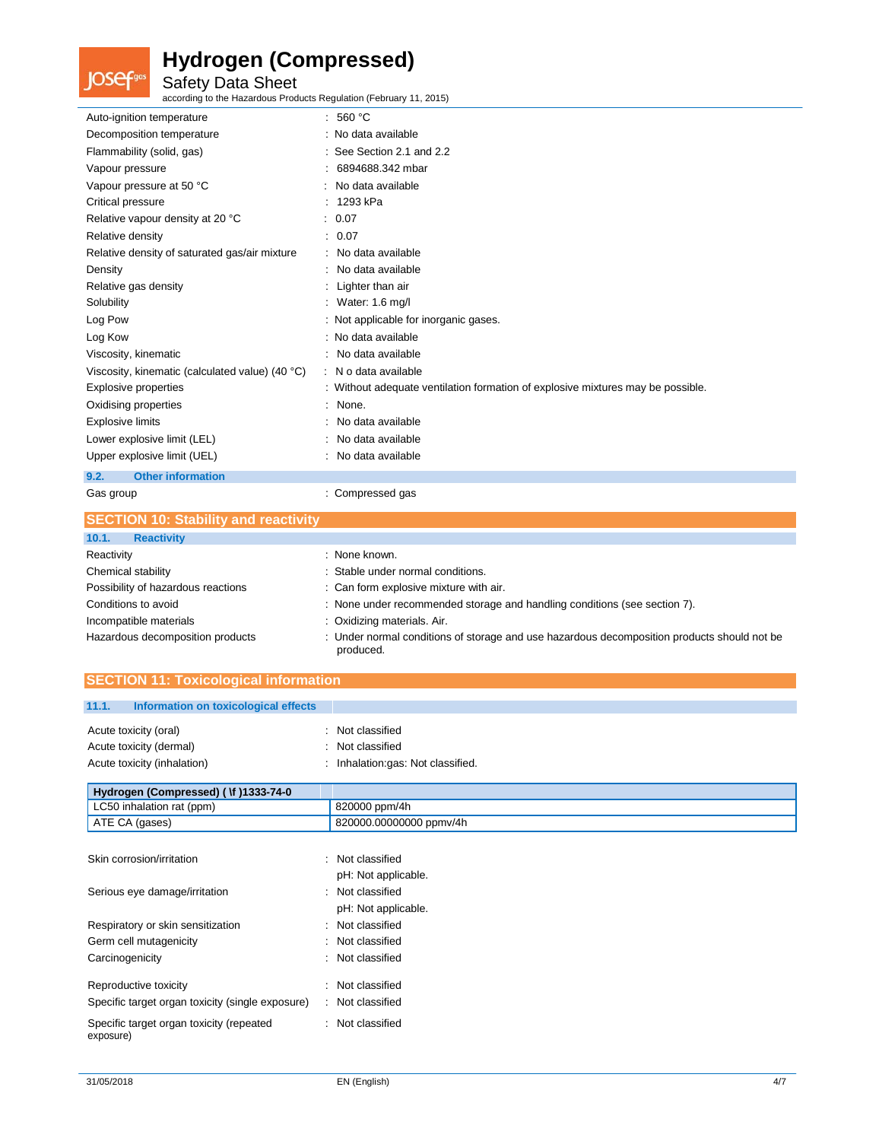**JOSef**gas

Safety Data Sheet according to the Hazardous Products Regulation (February 11, 2015)

| Auto-ignition temperature                       | : 560 $°C$                                                                      |
|-------------------------------------------------|---------------------------------------------------------------------------------|
| Decomposition temperature                       | : No data available                                                             |
| Flammability (solid, gas)                       | $:$ See Section 2.1 and 2.2                                                     |
| Vapour pressure                                 | 6894688.342 mbar                                                                |
| Vapour pressure at 50 °C                        | No data available                                                               |
| Critical pressure                               | : 1293 kPa                                                                      |
| Relative vapour density at 20 °C                | : 0.07                                                                          |
| Relative density                                | : 0.07                                                                          |
| Relative density of saturated gas/air mixture   | : No data available                                                             |
| Density                                         | : No data available                                                             |
| Relative gas density                            | Lighter than air                                                                |
| Solubility                                      | : Water: 1.6 mg/l                                                               |
| Log Pow                                         | : Not applicable for inorganic gases.                                           |
| Log Kow                                         | : No data available                                                             |
| Viscosity, kinematic                            | : No data available                                                             |
| Viscosity, kinematic (calculated value) (40 °C) | : N o data available                                                            |
| Explosive properties                            | : Without adequate ventilation formation of explosive mixtures may be possible. |
| Oxidising properties                            | : None.                                                                         |
| <b>Explosive limits</b>                         | : No data available                                                             |
| Lower explosive limit (LEL)                     | No data available                                                               |
| Upper explosive limit (UEL)                     | : No data available                                                             |
| <b>Other information</b><br>9.2.                |                                                                                 |

| <b>SECTION 10: Stability and reactivity</b> |                                                                                                          |
|---------------------------------------------|----------------------------------------------------------------------------------------------------------|
| 10.1.<br><b>Reactivity</b>                  |                                                                                                          |
| Reactivity                                  | : None known.                                                                                            |
| Chemical stability                          | : Stable under normal conditions.                                                                        |
| Possibility of hazardous reactions          | : Can form explosive mixture with air.                                                                   |
| Conditions to avoid                         | : None under recommended storage and handling conditions (see section 7).                                |
| Incompatible materials                      | : Oxidizing materials. Air.                                                                              |
| Hazardous decomposition products            | : Under normal conditions of storage and use hazardous decomposition products should not be<br>produced. |

### **SECTION 11: Toxicological information**

Gas group **compressed gas** : Compressed gas

| 11.1.<br>Information on toxicological effects |                                   |
|-----------------------------------------------|-----------------------------------|
| Acute toxicity (oral)                         | : Not classified                  |
| Acute toxicity (dermal)                       | : Not classified                  |
| Acute toxicity (inhalation)                   | : Inhalation:gas: Not classified. |

| Hydrogen (Compressed) (\f )1333-74-0 |                         |
|--------------------------------------|-------------------------|
| LC50 inhalation rat (ppm)            | 820000 ppm/4h           |
| ATE CA (gases)                       | 820000.00000000 ppmy/4h |

| Skin corrosion/irritation                             | · Not classified    |
|-------------------------------------------------------|---------------------|
|                                                       | pH: Not applicable. |
| Serious eye damage/irritation                         | : Not classified    |
|                                                       | pH: Not applicable. |
| Respiratory or skin sensitization                     | : Not classified    |
| Germ cell mutagenicity                                | Not classified      |
| Carcinogenicity                                       | : Not classified    |
| Reproductive toxicity                                 | Not classified      |
| Specific target organ toxicity (single exposure)      | Not classified      |
| Specific target organ toxicity (repeated<br>exposure) | : Not classified    |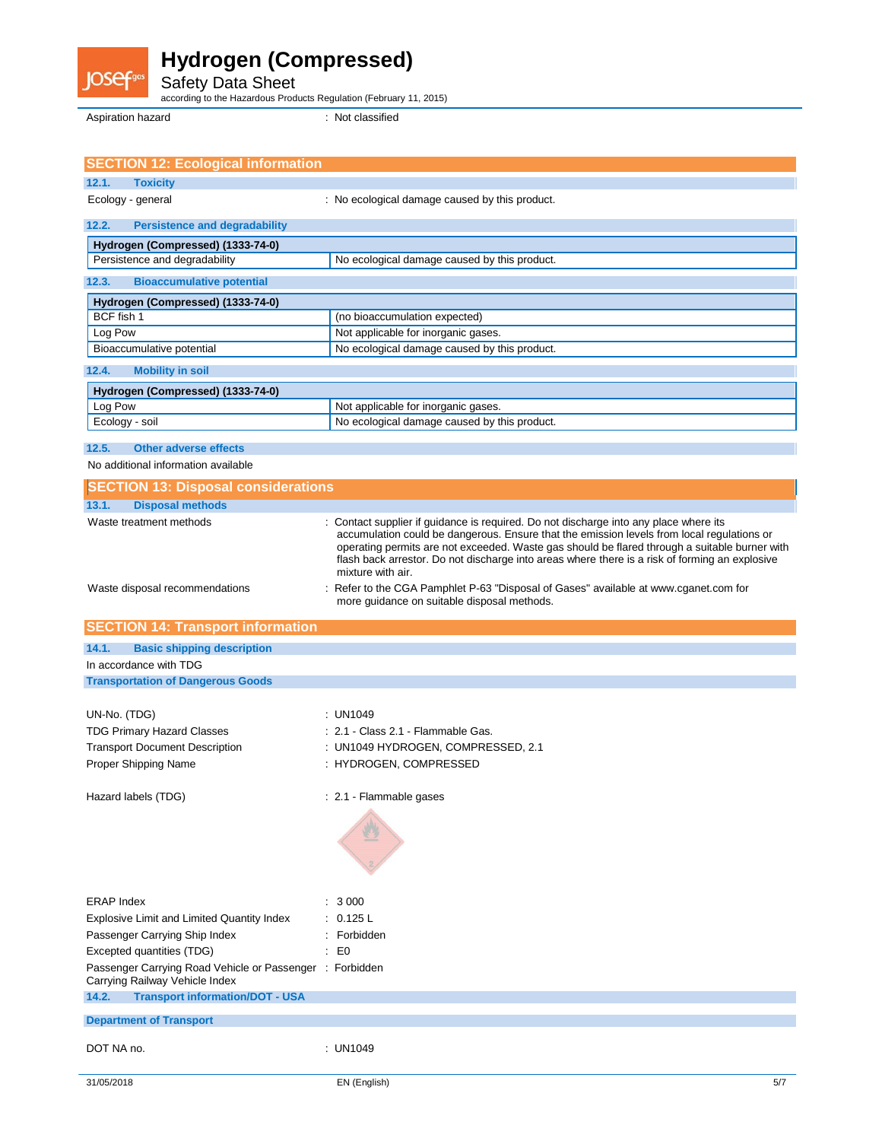

Safety Data Sheet according to the Hazardous Products Regulation (February 11, 2015)

Aspiration hazard in the set of the set of the Spiration hazard in the set of the set of the set of the set of the set of the set of the set of the set of the set of the set of the set of the set of the set of the set of t

| <b>SECTION 12: Ecological information</b>                                                  |                                                                                                                                                                                                                                                                                                                                                                                                             |
|--------------------------------------------------------------------------------------------|-------------------------------------------------------------------------------------------------------------------------------------------------------------------------------------------------------------------------------------------------------------------------------------------------------------------------------------------------------------------------------------------------------------|
| 12.1.<br><b>Toxicity</b>                                                                   |                                                                                                                                                                                                                                                                                                                                                                                                             |
| Ecology - general                                                                          | : No ecological damage caused by this product.                                                                                                                                                                                                                                                                                                                                                              |
| 12.2.<br><b>Persistence and degradability</b>                                              |                                                                                                                                                                                                                                                                                                                                                                                                             |
| Hydrogen (Compressed) (1333-74-0)                                                          |                                                                                                                                                                                                                                                                                                                                                                                                             |
| Persistence and degradability                                                              | No ecological damage caused by this product.                                                                                                                                                                                                                                                                                                                                                                |
| 12.3.<br><b>Bioaccumulative potential</b>                                                  |                                                                                                                                                                                                                                                                                                                                                                                                             |
| Hydrogen (Compressed) (1333-74-0)                                                          |                                                                                                                                                                                                                                                                                                                                                                                                             |
| BCF fish 1                                                                                 | (no bioaccumulation expected)                                                                                                                                                                                                                                                                                                                                                                               |
| Log Pow                                                                                    | Not applicable for inorganic gases.                                                                                                                                                                                                                                                                                                                                                                         |
| Bioaccumulative potential                                                                  | No ecological damage caused by this product.                                                                                                                                                                                                                                                                                                                                                                |
| 12.4.<br><b>Mobility in soil</b>                                                           |                                                                                                                                                                                                                                                                                                                                                                                                             |
| Hydrogen (Compressed) (1333-74-0)                                                          |                                                                                                                                                                                                                                                                                                                                                                                                             |
| Log Pow                                                                                    | Not applicable for inorganic gases.                                                                                                                                                                                                                                                                                                                                                                         |
| Ecology - soil                                                                             | No ecological damage caused by this product.                                                                                                                                                                                                                                                                                                                                                                |
| 12.5.<br><b>Other adverse effects</b>                                                      |                                                                                                                                                                                                                                                                                                                                                                                                             |
| No additional information available                                                        |                                                                                                                                                                                                                                                                                                                                                                                                             |
| <b>SECTION 13: Disposal considerations</b>                                                 |                                                                                                                                                                                                                                                                                                                                                                                                             |
| 13.1.<br><b>Disposal methods</b>                                                           |                                                                                                                                                                                                                                                                                                                                                                                                             |
| Waste treatment methods                                                                    | : Contact supplier if guidance is required. Do not discharge into any place where its<br>accumulation could be dangerous. Ensure that the emission levels from local regulations or<br>operating permits are not exceeded. Waste gas should be flared through a suitable burner with<br>flash back arrestor. Do not discharge into areas where there is a risk of forming an explosive<br>mixture with air. |
| Waste disposal recommendations                                                             | Refer to the CGA Pamphlet P-63 "Disposal of Gases" available at www.cganet.com for<br>more guidance on suitable disposal methods.                                                                                                                                                                                                                                                                           |
|                                                                                            |                                                                                                                                                                                                                                                                                                                                                                                                             |
|                                                                                            |                                                                                                                                                                                                                                                                                                                                                                                                             |
| <b>SECTION 14: Transport information</b>                                                   |                                                                                                                                                                                                                                                                                                                                                                                                             |
| 14.1.<br><b>Basic shipping description</b><br>In accordance with TDG                       |                                                                                                                                                                                                                                                                                                                                                                                                             |
| <b>Transportation of Dangerous Goods</b>                                                   |                                                                                                                                                                                                                                                                                                                                                                                                             |
|                                                                                            |                                                                                                                                                                                                                                                                                                                                                                                                             |
| UN-No. (TDG)                                                                               | : $UN1049$                                                                                                                                                                                                                                                                                                                                                                                                  |
| <b>TDG Primary Hazard Classes</b>                                                          | : 2.1 - Class 2.1 - Flammable Gas.                                                                                                                                                                                                                                                                                                                                                                          |
| <b>Transport Document Description</b>                                                      | : UN1049 HYDROGEN, COMPRESSED, 2.1                                                                                                                                                                                                                                                                                                                                                                          |
| Proper Shipping Name                                                                       | : HYDROGEN, COMPRESSED                                                                                                                                                                                                                                                                                                                                                                                      |
| Hazard labels (TDG)                                                                        | : 2.1 - Flammable gases                                                                                                                                                                                                                                                                                                                                                                                     |
|                                                                                            |                                                                                                                                                                                                                                                                                                                                                                                                             |
| <b>ERAP Index</b>                                                                          | : 3000                                                                                                                                                                                                                                                                                                                                                                                                      |
| Explosive Limit and Limited Quantity Index                                                 | 0.125L                                                                                                                                                                                                                                                                                                                                                                                                      |
| Passenger Carrying Ship Index                                                              | Forbidden                                                                                                                                                                                                                                                                                                                                                                                                   |
| Excepted quantities (TDG)                                                                  | E <sub>0</sub><br>÷                                                                                                                                                                                                                                                                                                                                                                                         |
| Passenger Carrying Road Vehicle or Passenger : Forbidden<br>Carrying Railway Vehicle Index |                                                                                                                                                                                                                                                                                                                                                                                                             |
| 14.2.<br><b>Transport information/DOT - USA</b>                                            |                                                                                                                                                                                                                                                                                                                                                                                                             |
| <b>Department of Transport</b>                                                             |                                                                                                                                                                                                                                                                                                                                                                                                             |
| DOT NA no.                                                                                 | : UN1049                                                                                                                                                                                                                                                                                                                                                                                                    |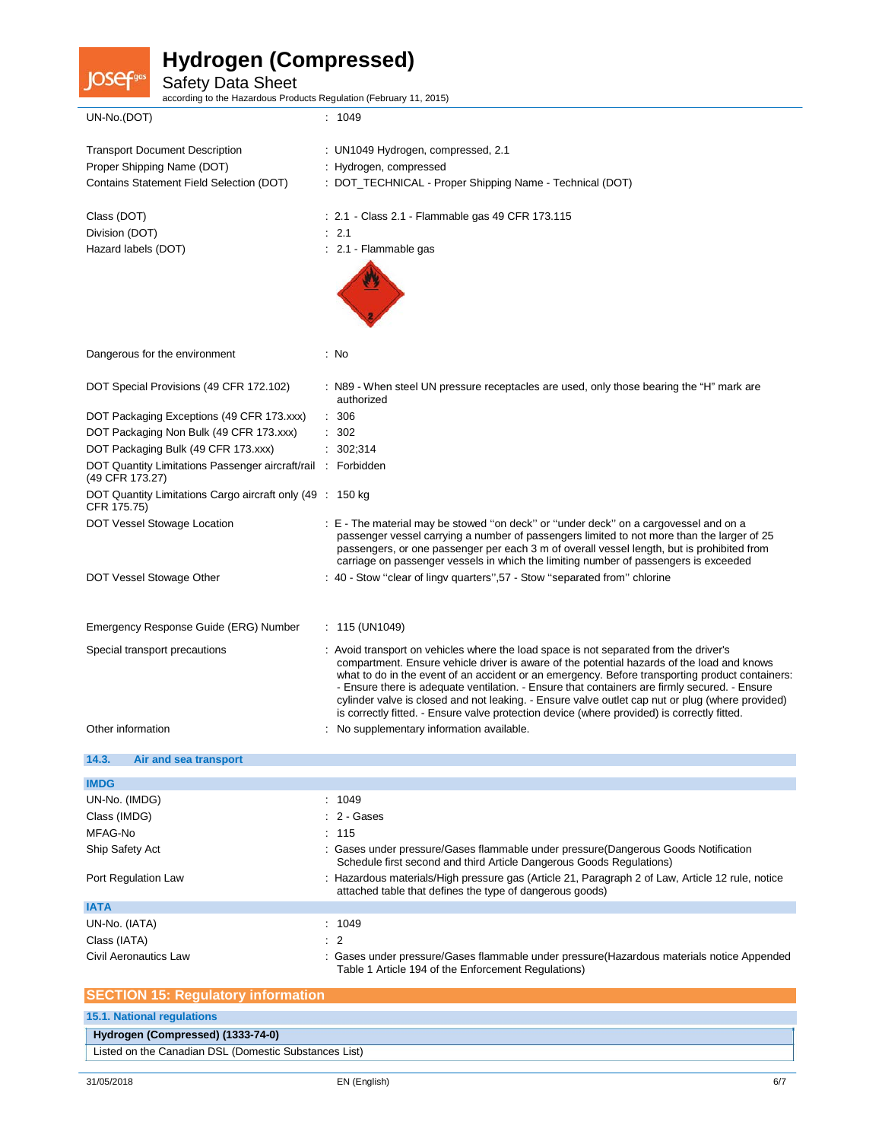**IOSef**gas

Safety Data Sheet according to the Hazardous Products Regulation (February 11, 2015)

| UN-No.(DOT)                                                                     | : 1049                                                                                                                                                                                                                                                                                                                                                                                                                                                                                                                                                                                     |
|---------------------------------------------------------------------------------|--------------------------------------------------------------------------------------------------------------------------------------------------------------------------------------------------------------------------------------------------------------------------------------------------------------------------------------------------------------------------------------------------------------------------------------------------------------------------------------------------------------------------------------------------------------------------------------------|
| <b>Transport Document Description</b>                                           | : UN1049 Hydrogen, compressed, 2.1                                                                                                                                                                                                                                                                                                                                                                                                                                                                                                                                                         |
| Proper Shipping Name (DOT)                                                      | : Hydrogen, compressed                                                                                                                                                                                                                                                                                                                                                                                                                                                                                                                                                                     |
| Contains Statement Field Selection (DOT)                                        | : DOT_TECHNICAL - Proper Shipping Name - Technical (DOT)                                                                                                                                                                                                                                                                                                                                                                                                                                                                                                                                   |
| Class (DOT)                                                                     | : 2.1 - Class 2.1 - Flammable gas 49 CFR 173.115                                                                                                                                                                                                                                                                                                                                                                                                                                                                                                                                           |
| Division (DOT)                                                                  | : 2.1                                                                                                                                                                                                                                                                                                                                                                                                                                                                                                                                                                                      |
| Hazard labels (DOT)                                                             | : 2.1 - Flammable gas                                                                                                                                                                                                                                                                                                                                                                                                                                                                                                                                                                      |
|                                                                                 |                                                                                                                                                                                                                                                                                                                                                                                                                                                                                                                                                                                            |
| Dangerous for the environment                                                   | : No                                                                                                                                                                                                                                                                                                                                                                                                                                                                                                                                                                                       |
| DOT Special Provisions (49 CFR 172.102)                                         | : N89 - When steel UN pressure receptacles are used, only those bearing the "H" mark are<br>authorized                                                                                                                                                                                                                                                                                                                                                                                                                                                                                     |
| DOT Packaging Exceptions (49 CFR 173.xxx)                                       | : 306                                                                                                                                                                                                                                                                                                                                                                                                                                                                                                                                                                                      |
| DOT Packaging Non Bulk (49 CFR 173.xxx)                                         | : 302                                                                                                                                                                                                                                                                                                                                                                                                                                                                                                                                                                                      |
| DOT Packaging Bulk (49 CFR 173.xxx)                                             | : 302;314                                                                                                                                                                                                                                                                                                                                                                                                                                                                                                                                                                                  |
| DOT Quantity Limitations Passenger aircraft/rail : Forbidden<br>(49 CFR 173.27) |                                                                                                                                                                                                                                                                                                                                                                                                                                                                                                                                                                                            |
| DOT Quantity Limitations Cargo aircraft only (49 : 150 kg)<br>CFR 175.75)       |                                                                                                                                                                                                                                                                                                                                                                                                                                                                                                                                                                                            |
| DOT Vessel Stowage Location                                                     | : E - The material may be stowed "on deck" or "under deck" on a cargovessel and on a<br>passenger vessel carrying a number of passengers limited to not more than the larger of 25<br>passengers, or one passenger per each 3 m of overall vessel length, but is prohibited from<br>carriage on passenger vessels in which the limiting number of passengers is exceeded                                                                                                                                                                                                                   |
| DOT Vessel Stowage Other                                                        | : 40 - Stow "clear of lingv quarters", 57 - Stow "separated from" chlorine                                                                                                                                                                                                                                                                                                                                                                                                                                                                                                                 |
| Emergency Response Guide (ERG) Number                                           | : 115 (UN1049)                                                                                                                                                                                                                                                                                                                                                                                                                                                                                                                                                                             |
| Special transport precautions                                                   | : Avoid transport on vehicles where the load space is not separated from the driver's<br>compartment. Ensure vehicle driver is aware of the potential hazards of the load and knows<br>what to do in the event of an accident or an emergency. Before transporting product containers:<br>- Ensure there is adequate ventilation. - Ensure that containers are firmly secured. - Ensure<br>cylinder valve is closed and not leaking. - Ensure valve outlet cap nut or plug (where provided)<br>is correctly fitted. - Ensure valve protection device (where provided) is correctly fitted. |
| Other information                                                               | : No supplementary information available.                                                                                                                                                                                                                                                                                                                                                                                                                                                                                                                                                  |
| 14.3.<br>Air and sea transport                                                  |                                                                                                                                                                                                                                                                                                                                                                                                                                                                                                                                                                                            |
| <b>IMDG</b>                                                                     |                                                                                                                                                                                                                                                                                                                                                                                                                                                                                                                                                                                            |
| UN-No. (IMDG)                                                                   | : 1049                                                                                                                                                                                                                                                                                                                                                                                                                                                                                                                                                                                     |
| Class (IMDG)                                                                    | 2 - Gases                                                                                                                                                                                                                                                                                                                                                                                                                                                                                                                                                                                  |
| MFAG-No                                                                         | : 115                                                                                                                                                                                                                                                                                                                                                                                                                                                                                                                                                                                      |
| Ship Safety Act                                                                 | : Gases under pressure/Gases flammable under pressure(Dangerous Goods Notification<br>Schedule first second and third Article Dangerous Goods Regulations)                                                                                                                                                                                                                                                                                                                                                                                                                                 |
| Port Regulation Law                                                             | : Hazardous materials/High pressure gas (Article 21, Paragraph 2 of Law, Article 12 rule, notice<br>attached table that defines the type of dangerous goods)                                                                                                                                                                                                                                                                                                                                                                                                                               |
| <b>IATA</b>                                                                     |                                                                                                                                                                                                                                                                                                                                                                                                                                                                                                                                                                                            |
| UN-No. (IATA)                                                                   | : 1049                                                                                                                                                                                                                                                                                                                                                                                                                                                                                                                                                                                     |
| Class (IATA)                                                                    | $\overline{2}$<br>÷                                                                                                                                                                                                                                                                                                                                                                                                                                                                                                                                                                        |
| Civil Aeronautics Law                                                           | : Gases under pressure/Gases flammable under pressure(Hazardous materials notice Appended<br>Table 1 Article 194 of the Enforcement Regulations)                                                                                                                                                                                                                                                                                                                                                                                                                                           |
| <b>SECTION 15: Regulatory information</b>                                       |                                                                                                                                                                                                                                                                                                                                                                                                                                                                                                                                                                                            |
| <b>15.1. National regulations</b>                                               |                                                                                                                                                                                                                                                                                                                                                                                                                                                                                                                                                                                            |

### **Hydrogen (Compressed) (1333-74-0)**

Listed on the Canadian DSL (Domestic Substances List)